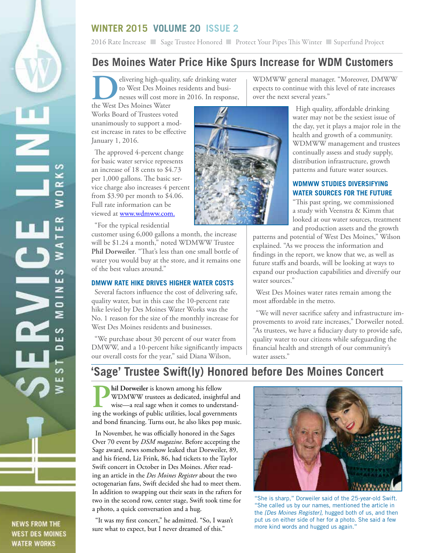## **WINTER 2015 VOLUME 20 ISSUE 2**

2016 Rate Increase Sage Trustee Honored Protect Your Pipes This Winter Superfund Project

## **Des Moines Water Price Hike Spurs Increase for WDM Customers**

**DELITE SERVING SERVING SERVING SERVING SERVING SERVING SURVEY TO WEST DES MOINS WATER THE WEST DES MOINS WATER** to West Des Moines residents and businesses will cost more in 2016. In response,

the West Des Moines Water Works Board of Trustees voted unanimously to support a modest increase in rates to be effective January 1, 2016.

The approved 4-percent change for basic water service represents an increase of 18 cents to \$4.73 per 1,000 gallons. The basic service charge also increases 4 percent from \$3.90 per month to \$4.06. Full rate information can be viewed at www.wdmww.com.

n z

Œ ≳

S ш z

 $\Box$ ⋝

S ū ≏

> S m

"For the typical residential

customer using 6,000 gallons a month, the increase will be \$1.24 a month," noted WDMWW Trustee **Phil Dorweiler**. "That's less than one small bottle of water you would buy at the store, and it remains one of the best values around."

### **DMWW RATE HIKE DRIVES HIGHER WATER COSTS**

Several factors influence the cost of delivering safe, quality water, but in this case the 10-percent rate hike levied by Des Moines Water Works was the No. 1 reason for the size of the monthly increase for West Des Moines residents and businesses.

"We purchase about 30 percent of our water from DMWW, and a 10-percent hike significantly impacts our overall costs for the year," said Diana Wilson,

WDMWW general manager. "Moreover, DMWW expects to continue with this level of rate increases over the next several years."

> High quality, affordable drinking water may not be the sexiest issue of the day, yet it plays a major role in the health and growth of a community. WDMWW management and trustees continually assess and study supply, distribution infrastructure, growth patterns and future water sources.

#### **WDMWW STUDIES DIVERSIFYING WATER SOURCES FOR THE FUTURE**

"This past spring, we commissioned a study with Veenstra & Kimm that looked at our water sources, treatment and production assets and the growth

patterns and potential of West Des Moines," Wilson explained. "As we process the information and findings in the report, we know that we, as well as future staffs and boards, will be looking at ways to expand our production capabilities and diversify our water sources."

West Des Moines water rates remain among the most affordable in the metro.

"We will never sacrifice safety and infrastructure improvements to avoid rate increases," Dorweiler noted. "As trustees, we have a fiduciary duty to provide safe, quality water to our citizens while safeguarding the financial health and strength of our community's water assets."

# **'Sage' Trustee Swift(ly) Honored before Des Moines Concert**

**Phil Dorweiler** is known among his fellow<br>WDMWW trustees as dedicated, insight<br>wise—a real sage when it comes to unders<br>ing the workings of public utilities local governn WDMWW trustees as dedicated, insightful and wise—a real sage when it comes to understanding the workings of public utilities, local governments and bond financing. Turns out, he also likes pop music.

In November, he was officially honored in the Sages Over 70 event by *DSM magazine*. Before accepting the Sage award, news somehow leaked that Dorweiler, 89, and his friend, Liz Frink, 86, had tickets to the Taylor Swift concert in October in Des Moines. After reading an article in the *Des Moines Register* about the two octogenarian fans, Swift decided she had to meet them. In addition to swapping out their seats in the rafters for two in the second row, center stage, Swift took time for a photo, a quick conversation and a hug.

"It was my first concert," he admitted. "So, I wasn't sure what to expect, but I never dreamed of this."



"She is sharp," Dorweiler said of the 25-year-old Swift. "She called us by our names, mentioned the article in the *[Des Moines Register],* hugged both of us, and then put us on either side of her for a photo. She said a few more kind words and hugged us again."



**NEWS FROM THE WEST DES MOINES WATER WORKS**